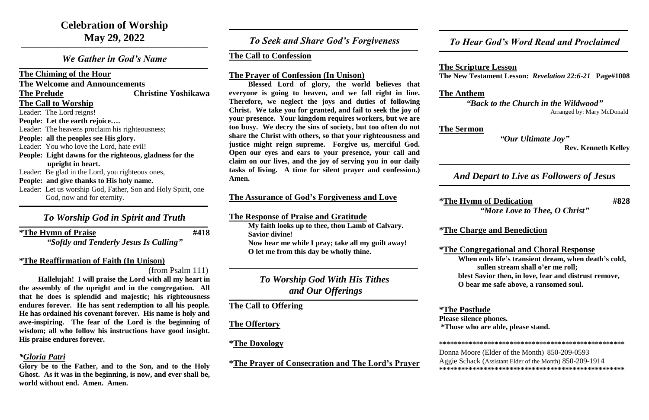*We Gather in God's Name*  $\mathcal{L}_\mathcal{L} = \mathcal{L}_\mathcal{L} = \mathcal{L}_\mathcal{L} = \mathcal{L}_\mathcal{L} = \mathcal{L}_\mathcal{L} = \mathcal{L}_\mathcal{L} = \mathcal{L}_\mathcal{L} = \mathcal{L}_\mathcal{L} = \mathcal{L}_\mathcal{L} = \mathcal{L}_\mathcal{L} = \mathcal{L}_\mathcal{L} = \mathcal{L}_\mathcal{L} = \mathcal{L}_\mathcal{L} = \mathcal{L}_\mathcal{L} = \mathcal{L}_\mathcal{L} = \mathcal{L}_\mathcal{L} = \mathcal{L}_\mathcal{L}$ 

**The Chiming of the Hour**

**The Welcome and Announcements**

**The Prelude Christine Yoshikawa**

**The Call to Worship** Leader: The Lord reigns!

- **People: Let the earth rejoice….**
- Leader: The heavens proclaim his righteousness;
- **People: all the peoples see His glory.**
- Leader: You who love the Lord, hate evil!
- **People: Light dawns for the righteous, gladness for the upright in heart.**
- Leader: Be glad in the Lord, you righteous ones,
- **People: and give thanks to His holy name.**
- Leader: Let us worship God, Father, Son and Holy Spirit, one God, now and for eternity. **\_\_\_\_\_\_\_\_\_\_\_\_\_\_\_\_\_\_\_\_\_\_\_\_\_\_\_\_\_\_\_\_\_\_\_\_\_\_\_\_\_\_\_\_\_\_\_\_\_\_\_\_\_\_\_\_\_\_\_\_\_\_\_\_\_\_\_\_\_\_\_\_\_\_\_\_\_\_\_\_\_\_\_\_\_\_\_\_\_**

# *To Worship God in Spirit and Truth*

*To Seek and Share God's Forgiveness*  $\mathcal{L}_\mathcal{L} = \mathcal{L}_\mathcal{L} = \mathcal{L}_\mathcal{L} = \mathcal{L}_\mathcal{L} = \mathcal{L}_\mathcal{L} = \mathcal{L}_\mathcal{L} = \mathcal{L}_\mathcal{L} = \mathcal{L}_\mathcal{L} = \mathcal{L}_\mathcal{L} = \mathcal{L}_\mathcal{L} = \mathcal{L}_\mathcal{L} = \mathcal{L}_\mathcal{L} = \mathcal{L}_\mathcal{L} = \mathcal{L}_\mathcal{L} = \mathcal{L}_\mathcal{L} = \mathcal{L}_\mathcal{L} = \mathcal{L}_\mathcal{L}$ 

**\*The Hymn of Praise #418**

 $\mathcal{L}_\mathcal{L} = \mathcal{L}_\mathcal{L} = \mathcal{L}_\mathcal{L} = \mathcal{L}_\mathcal{L} = \mathcal{L}_\mathcal{L} = \mathcal{L}_\mathcal{L} = \mathcal{L}_\mathcal{L} = \mathcal{L}_\mathcal{L} = \mathcal{L}_\mathcal{L} = \mathcal{L}_\mathcal{L} = \mathcal{L}_\mathcal{L} = \mathcal{L}_\mathcal{L} = \mathcal{L}_\mathcal{L} = \mathcal{L}_\mathcal{L} = \mathcal{L}_\mathcal{L} = \mathcal{L}_\mathcal{L} = \mathcal{L}_\mathcal{L}$ 

*"Softly and Tenderly Jesus Is Calling"*

## **\*The Reaffirmation of Faith (In Unison)**

(from Psalm 111)

**Hallelujah! I will praise the Lord with all my heart in the assembly of the upright and in the congregation. All that he does is splendid and majestic; his righteousness endures forever. He has sent redemption to all his people. He has ordained his covenant forever. His name is holy and awe-inspiring. The fear of the Lord is the beginning of wisdom; all who follow his instructions have good insight. His praise endures forever.**

## *\*Gloria Patri*

**Glory be to the Father, and to the Son, and to the Holy Ghost. As it was in the beginning, is now, and ever shall be, world without end. Amen. Amen.**

**\_\_\_\_\_\_\_\_\_\_\_\_\_\_\_\_\_\_\_\_\_\_\_\_\_\_\_\_\_\_\_\_\_\_\_\_\_\_\_\_\_\_\_\_\_\_\_\_\_\_\_\_\_\_\_\_\_\_\_\_\_\_\_\_\_\_\_\_\_\_\_\_\_\_\_\_\_\_\_\_\_\_\_\_\_\_\_\_\_**

### **The Call to Confession**

#### **The Prayer of Confession (In Unison)**

**Blessed Lord of glory, the world believes that everyone is going to heaven, and we fall right in line. Therefore, we neglect the joys and duties of following Christ. We take you for granted, and fail to seek the joy of your presence. Your kingdom requires workers, but we are too busy. We decry the sins of society, but too often do not share the Christ with others, so that your righteousness and justice might reign supreme. Forgive us, merciful God. Open our eyes and ears to your presence, your call and claim on our lives, and the joy of serving you in our daily tasks of living. A time for silent prayer and confession.) Amen.**

## **The Assurance of God's Forgiveness and Love**

**The Response of Praise and Gratitude** 

**My faith looks up to thee, thou Lamb of Calvary. Savior divine! Now hear me while I pray; take all my guilt away! O let me from this day be wholly thine.**

**\_\_\_\_\_\_\_\_\_\_\_\_\_\_\_\_\_\_\_\_\_\_\_\_\_\_\_\_\_\_\_\_\_\_\_\_\_\_\_\_\_\_\_\_\_\_\_\_\_\_\_\_\_\_\_\_\_\_\_\_\_\_\_\_\_\_\_\_\_\_\_\_\_\_\_\_\_\_\_\_\_\_\_\_\_\_\_\_\_**

*To Worship God With His Tithes and Our Offerings*

 $\mathcal{L}_\mathcal{L} = \mathcal{L}_\mathcal{L} = \mathcal{L}_\mathcal{L} = \mathcal{L}_\mathcal{L} = \mathcal{L}_\mathcal{L} = \mathcal{L}_\mathcal{L} = \mathcal{L}_\mathcal{L} = \mathcal{L}_\mathcal{L} = \mathcal{L}_\mathcal{L} = \mathcal{L}_\mathcal{L} = \mathcal{L}_\mathcal{L} = \mathcal{L}_\mathcal{L} = \mathcal{L}_\mathcal{L} = \mathcal{L}_\mathcal{L} = \mathcal{L}_\mathcal{L} = \mathcal{L}_\mathcal{L} = \mathcal{L}_\mathcal{L}$ 

**The Call to Offering**

**The Offertory**

### **\*The Doxology**

**\*The Prayer of Consecration and The Lord's Prayer**

**\_\_\_\_\_\_\_\_\_\_\_\_\_\_\_\_\_\_\_\_\_\_\_\_\_\_\_\_\_\_\_\_\_\_\_\_\_\_\_\_\_\_\_\_\_\_\_\_\_\_\_\_\_\_\_\_\_\_\_\_\_\_\_\_\_\_\_\_\_\_\_\_\_\_\_\_\_\_\_\_\_\_\_\_\_\_\_\_\_**

 $\mathcal{L}_\mathcal{L} = \mathcal{L}_\mathcal{L} = \mathcal{L}_\mathcal{L} = \mathcal{L}_\mathcal{L} = \mathcal{L}_\mathcal{L} = \mathcal{L}_\mathcal{L} = \mathcal{L}_\mathcal{L} = \mathcal{L}_\mathcal{L} = \mathcal{L}_\mathcal{L} = \mathcal{L}_\mathcal{L} = \mathcal{L}_\mathcal{L} = \mathcal{L}_\mathcal{L} = \mathcal{L}_\mathcal{L} = \mathcal{L}_\mathcal{L} = \mathcal{L}_\mathcal{L} = \mathcal{L}_\mathcal{L} = \mathcal{L}_\mathcal{L}$ 

*To Hear God's Word Read and Proclaimed*

**The Scripture Lesson The New Testament Lesson:** *Revelation 22:6-21* **Page#1008**

**The Anthem** *"Back to the Church in the Wildwood"* Arranged by: Mary McDonald

**The Sermon** 

*"Our Ultimate Joy"*  **Rev. Kenneth Kelley**

**\_\_\_\_\_\_\_\_\_\_\_\_\_\_\_\_\_\_\_\_\_\_\_\_\_\_\_\_\_\_\_\_\_\_\_\_\_\_\_\_\_\_\_\_\_\_\_\_\_\_\_\_\_\_\_\_\_\_\_\_\_\_\_\_\_\_\_\_\_\_\_\_\_\_\_\_\_\_\_\_\_\_\_\_\_\_\_\_\_\_**

# *And Depart to Live as Followers of Jesus*

**\_\_\_\_\_\_\_\_\_\_\_\_\_\_\_\_\_\_\_\_\_\_\_\_\_\_\_\_\_\_\_\_\_\_\_\_\_\_\_\_\_\_\_\_\_\_\_\_\_\_\_\_\_\_\_\_\_\_\_\_\_\_\_\_\_\_\_\_\_\_\_\_\_\_\_\_\_\_\_\_\_\_\_\_\_\_\_\_\_\_**

**\*The Hymn of Dedication #828** *"More Love to Thee, O Christ"*

#### **\*The Charge and Benediction**

**\*The Congregational and Choral Response When ends life's transient dream, when death's cold, sullen stream shall o'er me roll; blest Savior then, in love, fear and distrust remove, O bear me safe above, a ransomed soul.**

**\*The Postlude Please silence phones. \*Those who are able, please stand.**

**\*\*\*\*\*\*\*\*\*\*\*\*\*\*\*\*\*\*\*\*\*\*\*\*\*\*\*\*\*\*\*\*\*\*\*\*\*\*\*\*\*\*\*\*\*\*\*\*\*\***

Donna Moore (Elder of the Month) 850-209-0593 Aggie Schack (Assistant Elder of the Month) 850-209-1914 **\*\*\*\*\*\*\*\*\*\*\*\*\*\*\*\*\*\*\*\*\*\*\*\*\*\*\*\*\*\*\*\*\*\*\*\*\*\*\*\*\*\*\*\*\*\*\*\*\*\***